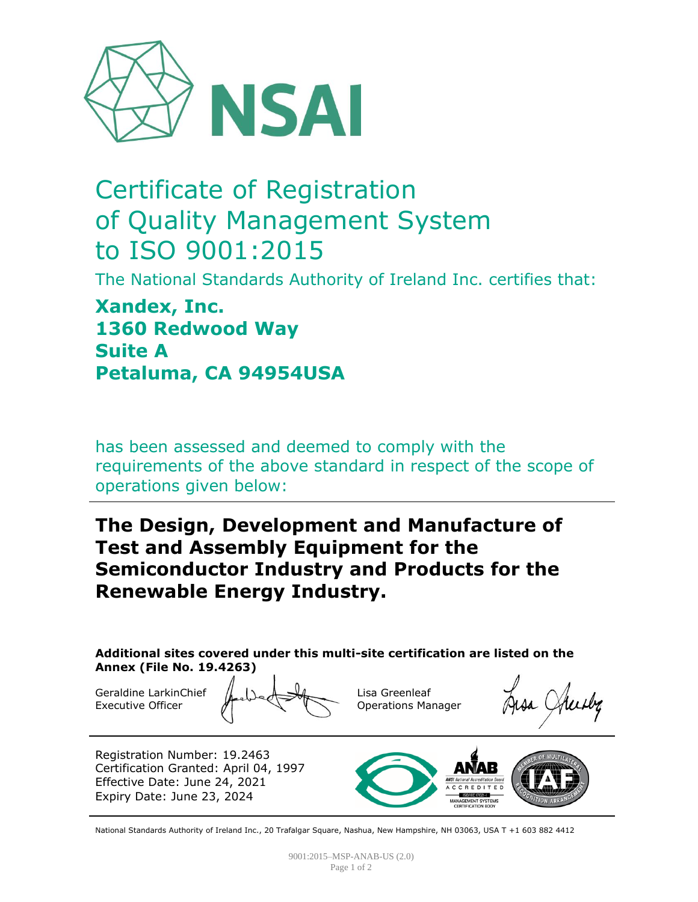

# Certificate of Registration of Quality Management System to ISO 9001:2015

The National Standards Authority of Ireland Inc. certifies that:

## **Xandex, Inc. 1360 Redwood Way Suite A Petaluma, CA 94954USA**

has been assessed and deemed to comply with the requirements of the above standard in respect of the scope of operations given below:

**The Design, Development and Manufacture of Test and Assembly Equipment for the Semiconductor Industry and Products for the Renewable Energy Industry.**

**Additional sites covered under this multi-site certification are listed on the Annex (File No. 19.4263)**

Geraldine LarkinChief Executive Officer

Lisa Greenleaf Operations Manager

Registration Number: 19.2463 Certification Granted: April 04, 1997 Effective Date: June 24, 2021 Expiry Date: June 23, 2024



National Standards Authority of Ireland Inc., 20 Trafalgar Square, Nashua, New Hampshire, NH 03063, USA T +1 603 882 4412